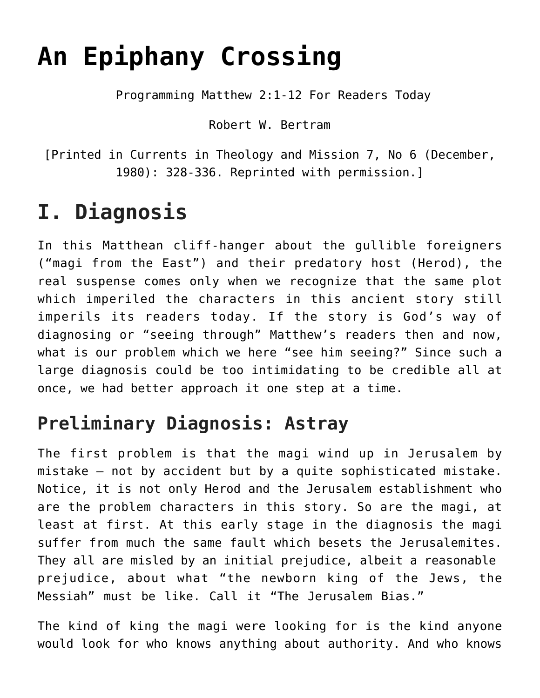# **[An Epiphany Crossing](https://crossings.org/an-epiphany-crossing/)**

Programming Matthew 2:1-12 For Readers Today

Robert W. Bertram

[Printed in Currents in Theology and Mission 7, No 6 (December, 1980): 328-336. Reprinted with permission.]

## **I. Diagnosis**

In this Matthean cliff-hanger about the gullible foreigners ("magi from the East") and their predatory host (Herod), the real suspense comes only when we recognize that the same plot which imperiled the characters in this ancient story still imperils its readers today. If the story is God's way of diagnosing or "seeing through" Matthew's readers then and now, what is our problem which we here "see him seeing?" Since such a large diagnosis could be too intimidating to be credible all at once, we had better approach it one step at a time.

### **Preliminary Diagnosis: Astray**

The first problem is that the magi wind up in Jerusalem by mistake – not by accident but by a quite sophisticated mistake. Notice, it is not only Herod and the Jerusalem establishment who are the problem characters in this story. So are the magi, at least at first. At this early stage in the diagnosis the magi suffer from much the same fault which besets the Jerusalemites. They all are misled by an initial prejudice, albeit a reasonable prejudice, about what "the newborn king of the Jews, the Messiah" must be like. Call it "The Jerusalem Bias."

The kind of king the magi were looking for is the kind anyone would look for who knows anything about authority. And who knows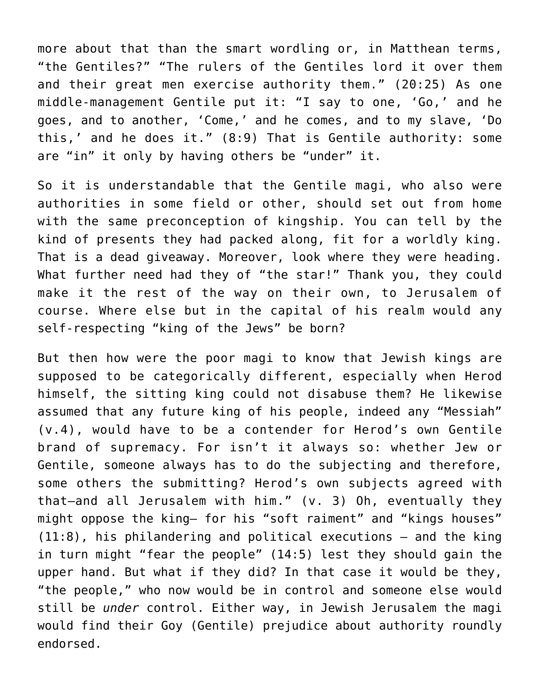more about that than the smart wordling or, in Matthean terms, "the Gentiles?" "The rulers of the Gentiles lord it over them and their great men exercise authority them." (20:25) As one middle-management Gentile put it: "I say to one, 'Go,' and he goes, and to another, 'Come,' and he comes, and to my slave, 'Do this,' and he does it." (8:9) That is Gentile authority: some are "in" it only by having others be "under" it.

So it is understandable that the Gentile magi, who also were authorities in some field or other, should set out from home with the same preconception of kingship. You can tell by the kind of presents they had packed along, fit for a worldly king. That is a dead giveaway. Moreover, look where they were heading. What further need had they of "the star!" Thank you, they could make it the rest of the way on their own, to Jerusalem of course. Where else but in the capital of his realm would any self-respecting "king of the Jews" be born?

But then how were the poor magi to know that Jewish kings are supposed to be categorically different, especially when Herod himself, the sitting king could not disabuse them? He likewise assumed that any future king of his people, indeed any "Messiah" (v.4), would have to be a contender for Herod's own Gentile brand of supremacy. For isn't it always so: whether Jew or Gentile, someone always has to do the subjecting and therefore, some others the submitting? Herod's own subjects agreed with that–and all Jerusalem with him." (v. 3) Oh, eventually they might oppose the king– for his "soft raiment" and "kings houses" (11:8), his philandering and political executions – and the king in turn might "fear the people" (14:5) lest they should gain the upper hand. But what if they did? In that case it would be they, "the people," who now would be in control and someone else would still be *under* control. Either way, in Jewish Jerusalem the magi would find their Goy (Gentile) prejudice about authority roundly endorsed.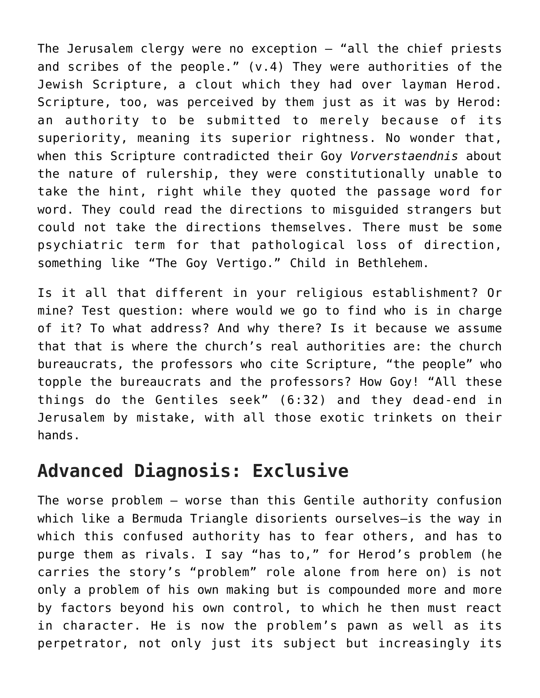The Jerusalem clergy were no exception — "all the chief priests and scribes of the people." (v.4) They were authorities of the Jewish Scripture, a clout which they had over layman Herod. Scripture, too, was perceived by them just as it was by Herod: an authority to be submitted to merely because of its superiority, meaning its superior rightness. No wonder that, when this Scripture contradicted their Goy *Vorverstaendnis* about the nature of rulership, they were constitutionally unable to take the hint, right while they quoted the passage word for word. They could read the directions to misguided strangers but could not take the directions themselves. There must be some psychiatric term for that pathological loss of direction, something like "The Goy Vertigo." Child in Bethlehem.

Is it all that different in your religious establishment? Or mine? Test question: where would we go to find who is in charge of it? To what address? And why there? Is it because we assume that that is where the church's real authorities are: the church bureaucrats, the professors who cite Scripture, "the people" who topple the bureaucrats and the professors? How Goy! "All these things do the Gentiles seek" (6:32) and they dead-end in Jerusalem by mistake, with all those exotic trinkets on their hands.

#### **Advanced Diagnosis: Exclusive**

The worse problem – worse than this Gentile authority confusion which like a Bermuda Triangle disorients ourselves—is the way in which this confused authority has to fear others, and has to purge them as rivals. I say "has to," for Herod's problem (he carries the story's "problem" role alone from here on) is not only a problem of his own making but is compounded more and more by factors beyond his own control, to which he then must react in character. He is now the problem's pawn as well as its perpetrator, not only just its subject but increasingly its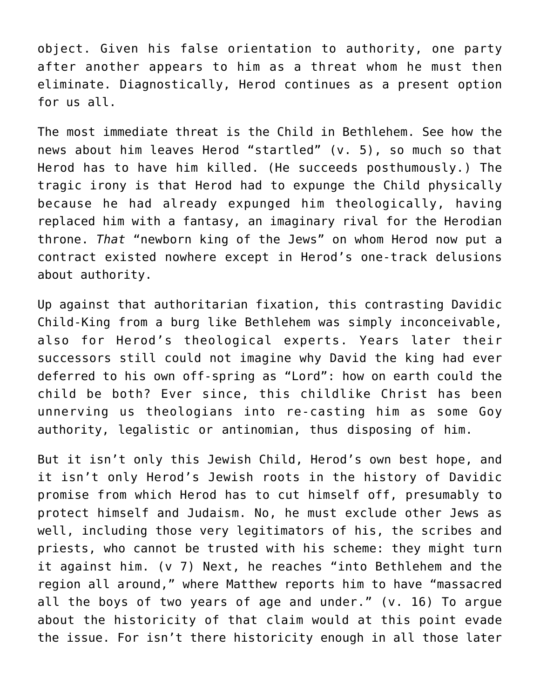object. Given his false orientation to authority, one party after another appears to him as a threat whom he must then eliminate. Diagnostically, Herod continues as a present option for us all.

The most immediate threat is the Child in Bethlehem. See how the news about him leaves Herod "startled" (v. 5), so much so that Herod has to have him killed. (He succeeds posthumously.) The tragic irony is that Herod had to expunge the Child physically because he had already expunged him theologically, having replaced him with a fantasy, an imaginary rival for the Herodian throne. *That* "newborn king of the Jews" on whom Herod now put a contract existed nowhere except in Herod's one-track delusions about authority.

Up against that authoritarian fixation, this contrasting Davidic Child-King from a burg like Bethlehem was simply inconceivable, also for Herod's theological experts. Years later their successors still could not imagine why David the king had ever deferred to his own off-spring as "Lord": how on earth could the child be both? Ever since, this childlike Christ has been unnerving us theologians into re-casting him as some Goy authority, legalistic or antinomian, thus disposing of him.

But it isn't only this Jewish Child, Herod's own best hope, and it isn't only Herod's Jewish roots in the history of Davidic promise from which Herod has to cut himself off, presumably to protect himself and Judaism. No, he must exclude other Jews as well, including those very legitimators of his, the scribes and priests, who cannot be trusted with his scheme: they might turn it against him. (v 7) Next, he reaches "into Bethlehem and the region all around," where Matthew reports him to have "massacred all the boys of two years of age and under." (v. 16) To argue about the historicity of that claim would at this point evade the issue. For isn't there historicity enough in all those later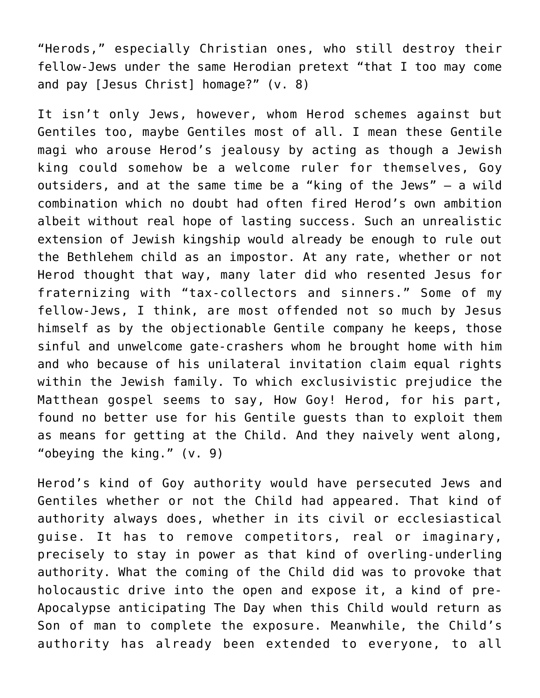"Herods," especially Christian ones, who still destroy their fellow-Jews under the same Herodian pretext "that I too may come and pay [Jesus Christ] homage?" (v. 8)

It isn't only Jews, however, whom Herod schemes against but Gentiles too, maybe Gentiles most of all. I mean these Gentile magi who arouse Herod's jealousy by acting as though a Jewish king could somehow be a welcome ruler for themselves, Goy outsiders, and at the same time be a "king of the Jews" – a wild combination which no doubt had often fired Herod's own ambition albeit without real hope of lasting success. Such an unrealistic extension of Jewish kingship would already be enough to rule out the Bethlehem child as an impostor. At any rate, whether or not Herod thought that way, many later did who resented Jesus for fraternizing with "tax-collectors and sinners." Some of my fellow-Jews, I think, are most offended not so much by Jesus himself as by the objectionable Gentile company he keeps, those sinful and unwelcome gate-crashers whom he brought home with him and who because of his unilateral invitation claim equal rights within the Jewish family. To which exclusivistic prejudice the Matthean gospel seems to say, How Goy! Herod, for his part, found no better use for his Gentile guests than to exploit them as means for getting at the Child. And they naively went along, "obeying the king." (v. 9)

Herod's kind of Goy authority would have persecuted Jews and Gentiles whether or not the Child had appeared. That kind of authority always does, whether in its civil or ecclesiastical guise. It has to remove competitors, real or imaginary, precisely to stay in power as that kind of overling-underling authority. What the coming of the Child did was to provoke that holocaustic drive into the open and expose it, a kind of pre-Apocalypse anticipating The Day when this Child would return as Son of man to complete the exposure. Meanwhile, the Child's authority has already been extended to everyone, to all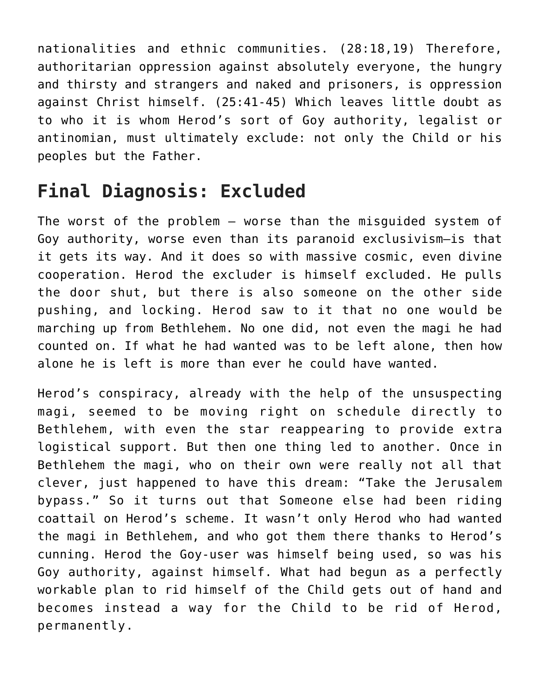nationalities and ethnic communities. (28:18,19) Therefore, authoritarian oppression against absolutely everyone, the hungry and thirsty and strangers and naked and prisoners, is oppression against Christ himself. (25:41-45) Which leaves little doubt as to who it is whom Herod's sort of Goy authority, legalist or antinomian, must ultimately exclude: not only the Child or his peoples but the Father.

### **Final Diagnosis: Excluded**

The worst of the problem – worse than the misguided system of Goy authority, worse even than its paranoid exclusivism—is that it gets its way. And it does so with massive cosmic, even divine cooperation. Herod the excluder is himself excluded. He pulls the door shut, but there is also someone on the other side pushing, and locking. Herod saw to it that no one would be marching up from Bethlehem. No one did, not even the magi he had counted on. If what he had wanted was to be left alone, then how alone he is left is more than ever he could have wanted.

Herod's conspiracy, already with the help of the unsuspecting magi, seemed to be moving right on schedule directly to Bethlehem, with even the star reappearing to provide extra logistical support. But then one thing led to another. Once in Bethlehem the magi, who on their own were really not all that clever, just happened to have this dream: "Take the Jerusalem bypass." So it turns out that Someone else had been riding coattail on Herod's scheme. It wasn't only Herod who had wanted the magi in Bethlehem, and who got them there thanks to Herod's cunning. Herod the Goy-user was himself being used, so was his Goy authority, against himself. What had begun as a perfectly workable plan to rid himself of the Child gets out of hand and becomes instead a way for the Child to be rid of Herod, permanently.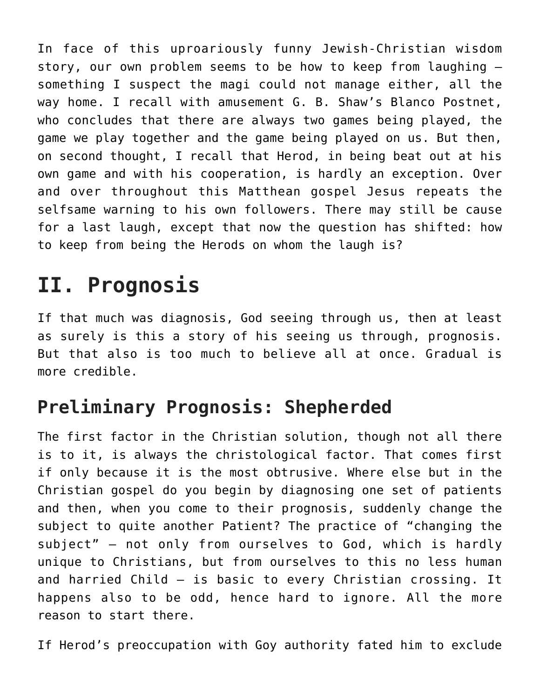In face of this uproariously funny Jewish-Christian wisdom story, our own problem seems to be how to keep from laughing – something I suspect the magi could not manage either, all the way home. I recall with amusement G. B. Shaw's Blanco Postnet, who concludes that there are always two games being played, the game we play together and the game being played on us. But then, on second thought, I recall that Herod, in being beat out at his own game and with his cooperation, is hardly an exception. Over and over throughout this Matthean gospel Jesus repeats the selfsame warning to his own followers. There may still be cause for a last laugh, except that now the question has shifted: how to keep from being the Herods on whom the laugh is?

## **II. Prognosis**

If that much was diagnosis, God seeing through us, then at least as surely is this a story of his seeing us through, prognosis. But that also is too much to believe all at once. Gradual is more credible.

### **Preliminary Prognosis: Shepherded**

The first factor in the Christian solution, though not all there is to it, is always the christological factor. That comes first if only because it is the most obtrusive. Where else but in the Christian gospel do you begin by diagnosing one set of patients and then, when you come to their prognosis, suddenly change the subject to quite another Patient? The practice of "changing the subject" – not only from ourselves to God, which is hardly unique to Christians, but from ourselves to this no less human and harried Child – is basic to every Christian crossing. It happens also to be odd, hence hard to ignore. All the more reason to start there.

If Herod's preoccupation with Goy authority fated him to exclude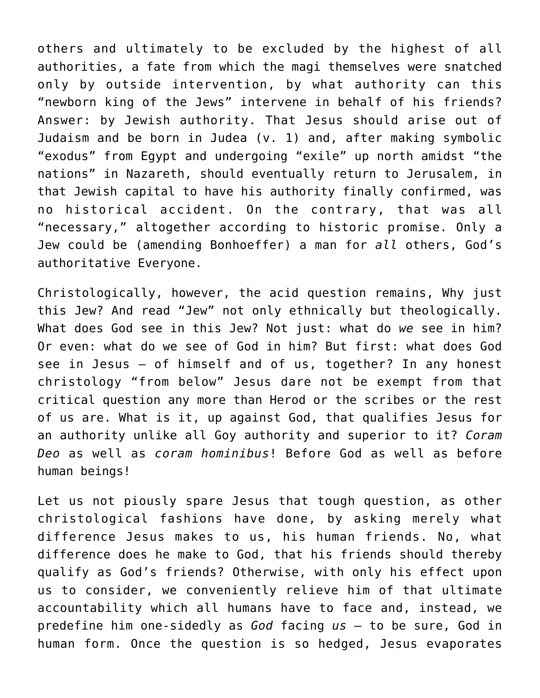others and ultimately to be excluded by the highest of all authorities, a fate from which the magi themselves were snatched only by outside intervention, by what authority can this "newborn king of the Jews" intervene in behalf of his friends? Answer: by Jewish authority. That Jesus should arise out of Judaism and be born in Judea (v. 1) and, after making symbolic "exodus" from Egypt and undergoing "exile" up north amidst "the nations" in Nazareth, should eventually return to Jerusalem, in that Jewish capital to have his authority finally confirmed, was no historical accident. On the contrary, that was all "necessary," altogether according to historic promise. Only a Jew could be (amending Bonhoeffer) a man for *all* others, God's authoritative Everyone.

Christologically, however, the acid question remains, Why just this Jew? And read "Jew" not only ethnically but theologically. What does God see in this Jew? Not just: what do *we* see in him? Or even: what do we see of God in him? But first: what does God see in Jesus – of himself and of us, together? In any honest christology "from below" Jesus dare not be exempt from that critical question any more than Herod or the scribes or the rest of us are. What is it, up against God, that qualifies Jesus for an authority unlike all Goy authority and superior to it? *Coram Deo* as well as *coram hominibus*! Before God as well as before human beings!

Let us not piously spare Jesus that tough question, as other christological fashions have done, by asking merely what difference Jesus makes to us, his human friends. No, what difference does he make to God, that his friends should thereby qualify as God's friends? Otherwise, with only his effect upon us to consider, we conveniently relieve him of that ultimate accountability which all humans have to face and, instead, we predefine him one-sidedly as *God* facing *us* – to be sure, God in human form. Once the question is so hedged, Jesus evaporates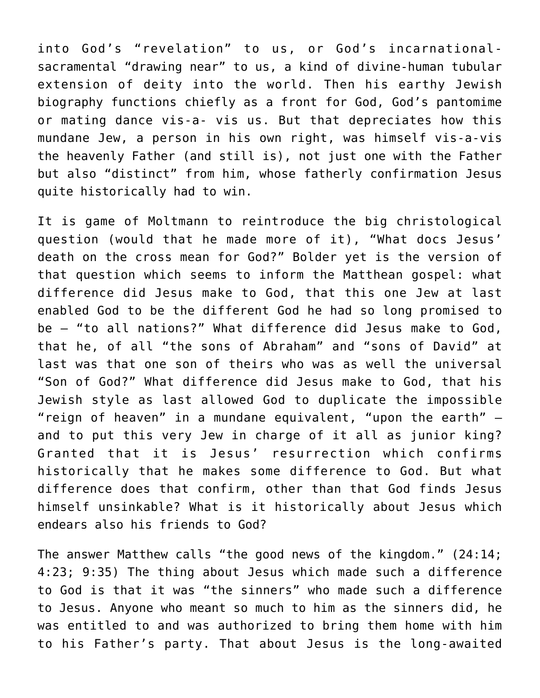into God's "revelation" to us, or God's incarnationalsacramental "drawing near" to us, a kind of divine-human tubular extension of deity into the world. Then his earthy Jewish biography functions chiefly as a front for God, God's pantomime or mating dance vis-a- vis us. But that depreciates how this mundane Jew, a person in his own right, was himself vis-a-vis the heavenly Father (and still is), not just one with the Father but also "distinct" from him, whose fatherly confirmation Jesus quite historically had to win.

It is game of Moltmann to reintroduce the big christological question (would that he made more of it), "What docs Jesus' death on the cross mean for God?" Bolder yet is the version of that question which seems to inform the Matthean gospel: what difference did Jesus make to God, that this one Jew at last enabled God to be the different God he had so long promised to be – "to all nations?" What difference did Jesus make to God, that he, of all "the sons of Abraham" and "sons of David" at last was that one son of theirs who was as well the universal "Son of God?" What difference did Jesus make to God, that his Jewish style as last allowed God to duplicate the impossible "reign of heaven" in a mundane equivalent, "upon the earth" – and to put this very Jew in charge of it all as junior king? Granted that it is Jesus' resurrection which confirms historically that he makes some difference to God. But what difference does that confirm, other than that God finds Jesus himself unsinkable? What is it historically about Jesus which endears also his friends to God?

The answer Matthew calls "the good news of the kingdom." (24:14; 4:23; 9:35) The thing about Jesus which made such a difference to God is that it was "the sinners" who made such a difference to Jesus. Anyone who meant so much to him as the sinners did, he was entitled to and was authorized to bring them home with him to his Father's party. That about Jesus is the long-awaited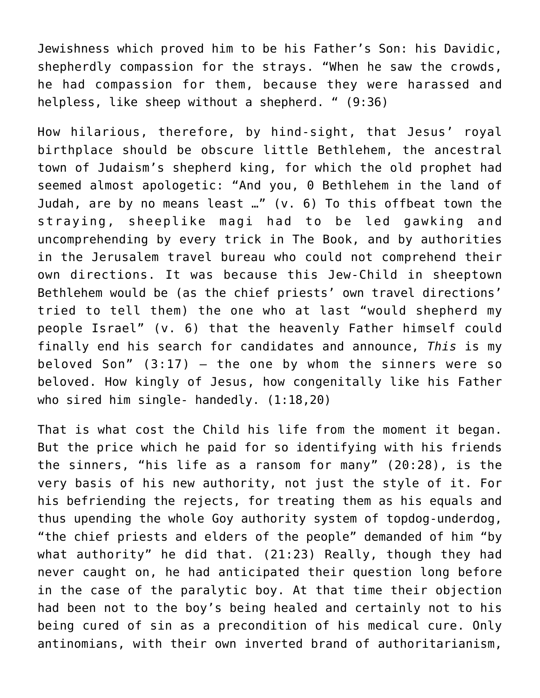Jewishness which proved him to be his Father's Son: his Davidic, shepherdly compassion for the strays. "When he saw the crowds, he had compassion for them, because they were harassed and helpless, like sheep without a shepherd. " (9:36)

How hilarious, therefore, by hind-sight, that Jesus' royal birthplace should be obscure little Bethlehem, the ancestral town of Judaism's shepherd king, for which the old prophet had seemed almost apologetic: "And you, 0 Bethlehem in the land of Judah, are by no means least …" (v. 6) To this offbeat town the straying, sheeplike magi had to be led gawking and uncomprehending by every trick in The Book, and by authorities in the Jerusalem travel bureau who could not comprehend their own directions. It was because this Jew-Child in sheeptown Bethlehem would be (as the chief priests' own travel directions' tried to tell them) the one who at last "would shepherd my people Israel" (v. 6) that the heavenly Father himself could finally end his search for candidates and announce, *This* is my beloved Son"  $(3:17)$  - the one by whom the sinners were so beloved. How kingly of Jesus, how congenitally like his Father who sired him single- handedly. (1:18,20)

That is what cost the Child his life from the moment it began. But the price which he paid for so identifying with his friends the sinners, "his life as a ransom for many" (20:28), is the very basis of his new authority, not just the style of it. For his befriending the rejects, for treating them as his equals and thus upending the whole Goy authority system of topdog-underdog, "the chief priests and elders of the people" demanded of him "by what authority" he did that. (21:23) Really, though they had never caught on, he had anticipated their question long before in the case of the paralytic boy. At that time their objection had been not to the boy's being healed and certainly not to his being cured of sin as a precondition of his medical cure. Only antinomians, with their own inverted brand of authoritarianism,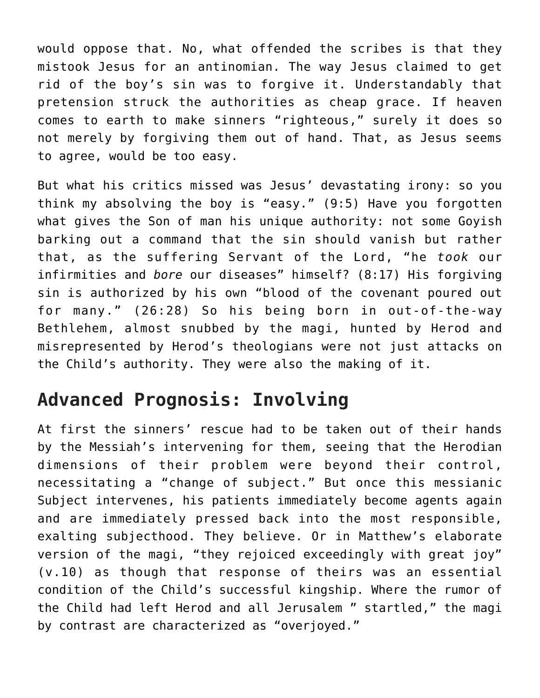would oppose that. No, what offended the scribes is that they mistook Jesus for an antinomian. The way Jesus claimed to get rid of the boy's sin was to forgive it. Understandably that pretension struck the authorities as cheap grace. If heaven comes to earth to make sinners "righteous," surely it does so not merely by forgiving them out of hand. That, as Jesus seems to agree, would be too easy.

But what his critics missed was Jesus' devastating irony: so you think my absolving the boy is "easy." (9:5) Have you forgotten what gives the Son of man his unique authority: not some Goyish barking out a command that the sin should vanish but rather that, as the suffering Servant of the Lord, "he *took* our infirmities and *bore* our diseases" himself? (8:17) His forgiving sin is authorized by his own "blood of the covenant poured out for many." (26:28) So his being born in out-of-the-way Bethlehem, almost snubbed by the magi, hunted by Herod and misrepresented by Herod's theologians were not just attacks on the Child's authority. They were also the making of it.

#### **Advanced Prognosis: Involving**

At first the sinners' rescue had to be taken out of their hands by the Messiah's intervening for them, seeing that the Herodian dimensions of their problem were beyond their control, necessitating a "change of subject." But once this messianic Subject intervenes, his patients immediately become agents again and are immediately pressed back into the most responsible, exalting subjecthood. They believe. Or in Matthew's elaborate version of the magi, "they rejoiced exceedingly with great joy" (v.10) as though that response of theirs was an essential condition of the Child's successful kingship. Where the rumor of the Child had left Herod and all Jerusalem " startled," the magi by contrast are characterized as "overjoyed."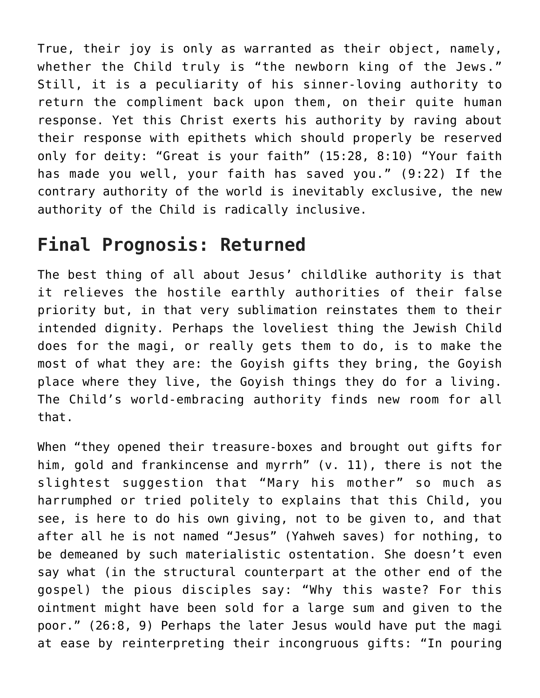True, their joy is only as warranted as their object, namely, whether the Child truly is "the newborn king of the Jews." Still, it is a peculiarity of his sinner-loving authority to return the compliment back upon them, on their quite human response. Yet this Christ exerts his authority by raving about their response with epithets which should properly be reserved only for deity: "Great is your faith" (15:28, 8:10) "Your faith has made you well, your faith has saved you." (9:22) If the contrary authority of the world is inevitably exclusive, the new authority of the Child is radically inclusive.

#### **Final Prognosis: Returned**

The best thing of all about Jesus' childlike authority is that it relieves the hostile earthly authorities of their false priority but, in that very sublimation reinstates them to their intended dignity. Perhaps the loveliest thing the Jewish Child does for the magi, or really gets them to do, is to make the most of what they are: the Goyish gifts they bring, the Goyish place where they live, the Goyish things they do for a living. The Child's world-embracing authority finds new room for all that.

When "they opened their treasure-boxes and brought out gifts for him, gold and frankincense and myrrh" (v. 11), there is not the slightest suggestion that "Mary his mother" so much as harrumphed or tried politely to explains that this Child, you see, is here to do his own giving, not to be given to, and that after all he is not named "Jesus" (Yahweh saves) for nothing, to be demeaned by such materialistic ostentation. She doesn't even say what (in the structural counterpart at the other end of the gospel) the pious disciples say: "Why this waste? For this ointment might have been sold for a large sum and given to the poor." (26:8, 9) Perhaps the later Jesus would have put the magi at ease by reinterpreting their incongruous gifts: "In pouring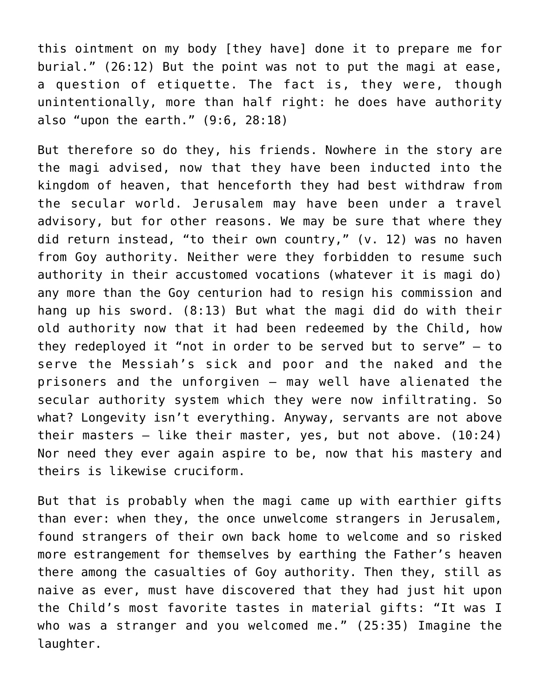this ointment on my body [they have] done it to prepare me for burial." (26:12) But the point was not to put the magi at ease, a question of etiquette. The fact is, they were, though unintentionally, more than half right: he does have authority also "upon the earth." (9:6, 28:18)

But therefore so do they, his friends. Nowhere in the story are the magi advised, now that they have been inducted into the kingdom of heaven, that henceforth they had best withdraw from the secular world. Jerusalem may have been under a travel advisory, but for other reasons. We may be sure that where they did return instead, "to their own country," (v. 12) was no haven from Goy authority. Neither were they forbidden to resume such authority in their accustomed vocations (whatever it is magi do) any more than the Goy centurion had to resign his commission and hang up his sword. (8:13) But what the magi did do with their old authority now that it had been redeemed by the Child, how they redeployed it "not in order to be served but to serve" – to serve the Messiah's sick and poor and the naked and the prisoners and the unforgiven – may well have alienated the secular authority system which they were now infiltrating. So what? Longevity isn't everything. Anyway, servants are not above their masters – like their master, yes, but not above. (10:24) Nor need they ever again aspire to be, now that his mastery and theirs is likewise cruciform.

But that is probably when the magi came up with earthier gifts than ever: when they, the once unwelcome strangers in Jerusalem, found strangers of their own back home to welcome and so risked more estrangement for themselves by earthing the Father's heaven there among the casualties of Goy authority. Then they, still as naive as ever, must have discovered that they had just hit upon the Child's most favorite tastes in material gifts: "It was I who was a stranger and you welcomed me." (25:35) Imagine the laughter.